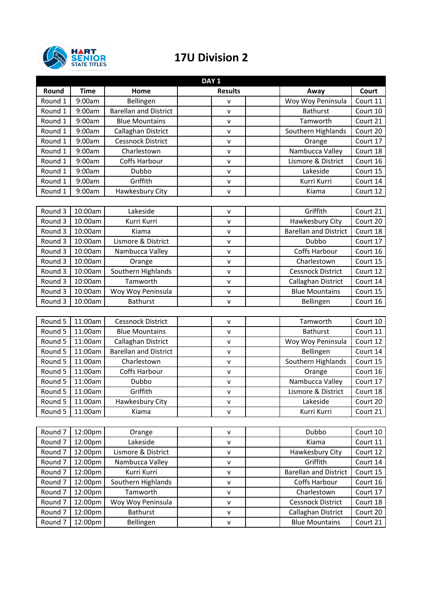

## **17U Division 2**

| DAY <sub>1</sub> |             |                              |                |                              |          |  |  |
|------------------|-------------|------------------------------|----------------|------------------------------|----------|--|--|
| Round            | <b>Time</b> | Home                         | <b>Results</b> | Away                         | Court    |  |  |
| Round 1          | 9:00am      | Bellingen                    | $\mathsf{v}$   | Woy Woy Peninsula            | Court 11 |  |  |
| Round 1          | 9:00am      | <b>Barellan and District</b> | $\mathsf{v}$   | <b>Bathurst</b>              | Court 10 |  |  |
| Round 1          | 9:00am      | <b>Blue Mountains</b>        | $\mathsf{v}$   | Tamworth                     | Court 21 |  |  |
| Round 1          | 9:00am      | Callaghan District           | $\mathsf{v}$   | Southern Highlands           | Court 20 |  |  |
| Round 1          | 9:00am      | <b>Cessnock District</b>     | v              | Orange                       | Court 17 |  |  |
| Round 1          | 9:00am      | Charlestown                  | $\mathsf{v}$   | Nambucca Valley              | Court 18 |  |  |
| Round 1          | 9:00am      | Coffs Harbour                | $\mathsf{v}$   | Lismore & District           | Court 16 |  |  |
| Round 1          | 9:00am      | Dubbo                        | $\mathsf{v}$   | Lakeside                     | Court 15 |  |  |
| Round 1          | 9:00am      | Griffith                     | $\mathsf{v}$   | Kurri Kurri                  | Court 14 |  |  |
| Round 1          | 9:00am      | Hawkesbury City              | $\mathsf{v}$   | Kiama                        | Court 12 |  |  |
|                  |             |                              |                |                              |          |  |  |
| Round 3          | 10:00am     | Lakeside                     | $\mathsf{v}$   | Griffith                     | Court 21 |  |  |
| Round 3          | 10:00am     | Kurri Kurri                  | $\mathsf{v}$   | Hawkesbury City              | Court 20 |  |  |
| Round 3          | 10:00am     | Kiama                        | $\mathsf{v}$   | <b>Barellan and District</b> | Court 18 |  |  |
| Round 3          | 10:00am     | Lismore & District           | $\sf V$        | Dubbo                        | Court 17 |  |  |
| Round 3          | 10:00am     | Nambucca Valley              | $\mathsf{v}$   | <b>Coffs Harbour</b>         | Court 16 |  |  |
| Round 3          | 10:00am     | Orange                       | $\mathsf{v}$   | Charlestown                  | Court 15 |  |  |
| Round 3          | 10:00am     | Southern Highlands           | $\mathsf{v}$   | <b>Cessnock District</b>     | Court 12 |  |  |
| Round 3          | 10:00am     | Tamworth                     | $\mathsf{v}$   | Callaghan District           | Court 14 |  |  |
| Round 3          | 10:00am     | Woy Woy Peninsula            | $\mathsf{v}$   | <b>Blue Mountains</b>        | Court 15 |  |  |
| Round 3          | 10:00am     | <b>Bathurst</b>              | $\mathsf{v}$   | Bellingen                    | Court 16 |  |  |
|                  |             |                              |                |                              |          |  |  |
| Round 5          | 11:00am     | <b>Cessnock District</b>     | v              | Tamworth                     | Court 10 |  |  |
| Round 5          | 11:00am     | <b>Blue Mountains</b>        | $\mathsf{v}$   | <b>Bathurst</b>              | Court 11 |  |  |
| Round 5          | 11:00am     | Callaghan District           | $\mathsf{v}$   | Woy Woy Peninsula            | Court 12 |  |  |
| Round 5          | 11:00am     | <b>Barellan and District</b> | v              | Bellingen                    | Court 14 |  |  |
| Round 5          | 11:00am     | Charlestown                  | $\mathsf{v}$   | Southern Highlands           | Court 15 |  |  |
| Round 5          | 11:00am     | Coffs Harbour                | $\mathsf{V}$   | Orange                       | Court 16 |  |  |
| Round 5          | 11:00am     | Dubbo                        | $\sf V$        | Nambucca Valley              | Court 17 |  |  |
| Round 5          | 11:00am     | Griffith                     | $\mathsf{v}$   | Lismore & District           | Court 18 |  |  |
| Round 5          | 11:00am     | Hawkesbury City              | v              | Lakeside                     | Court 20 |  |  |
| Round 5          | 11:00am     | Kiama                        | $\mathsf{v}$   | Kurri Kurri                  | Court 21 |  |  |
|                  |             |                              |                |                              |          |  |  |
| Round 7          | 12:00pm     | Orange                       | $\mathsf{v}$   | Dubbo                        | Court 10 |  |  |
| Round 7          | 12:00pm     | Lakeside                     | $\mathsf{V}$   | Kiama                        | Court 11 |  |  |
| Round 7          | 12:00pm     | Lismore & District           | $\mathsf{v}$   | Hawkesbury City              | Court 12 |  |  |
| Round 7          | 12:00pm     | Nambucca Valley              | $\sf V$        | Griffith                     | Court 14 |  |  |
| Round 7          | 12:00pm     | Kurri Kurri                  | v              | <b>Barellan and District</b> | Court 15 |  |  |
| Round 7          | 12:00pm     | Southern Highlands           | $\mathsf{v}$   | Coffs Harbour                | Court 16 |  |  |
| Round 7          | 12:00pm     | Tamworth                     | $\mathsf{v}$   | Charlestown                  | Court 17 |  |  |
| Round 7          | 12:00pm     | Woy Woy Peninsula            | v              | <b>Cessnock District</b>     | Court 18 |  |  |
| Round 7          | 12:00pm     | <b>Bathurst</b>              | $\mathsf{v}$   | Callaghan District           | Court 20 |  |  |
| Round 7          | 12:00pm     | Bellingen                    | $\sf V$        | <b>Blue Mountains</b>        | Court 21 |  |  |
|                  |             |                              |                |                              |          |  |  |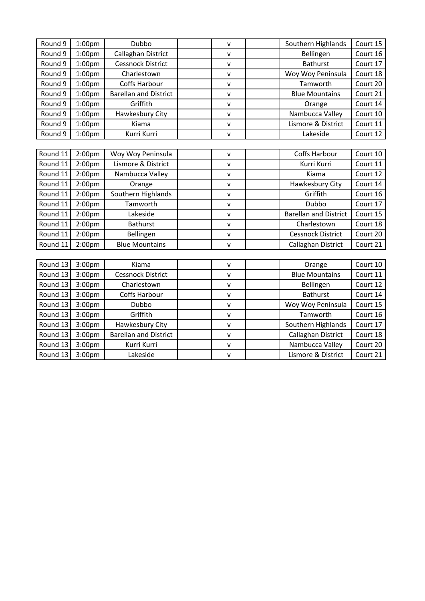| Round 9  | 1:00pm             | Dubbo                        | v            | Southern Highlands           | Court 15 |
|----------|--------------------|------------------------------|--------------|------------------------------|----------|
| Round 9  | 1:00 <sub>pm</sub> | Callaghan District           | v            | Bellingen                    | Court 16 |
| Round 9  | 1:00 <sub>pm</sub> | <b>Cessnock District</b>     | $\mathsf{v}$ | <b>Bathurst</b>              | Court 17 |
| Round 9  | 1:00pm             | Charlestown                  | v            | Woy Woy Peninsula            | Court 18 |
| Round 9  | 1:00 <sub>pm</sub> | <b>Coffs Harbour</b>         | v            | Tamworth                     | Court 20 |
| Round 9  | 1:00 <sub>pm</sub> | <b>Barellan and District</b> | v            | <b>Blue Mountains</b>        | Court 21 |
| Round 9  | 1:00pm             | Griffith                     | v            | Orange                       | Court 14 |
| Round 9  | 1:00 <sub>pm</sub> | Hawkesbury City              | v            | Nambucca Valley              | Court 10 |
| Round 9  | 1:00 <sub>pm</sub> | Kiama                        | $\mathsf{v}$ | Lismore & District           | Court 11 |
| Round 9  | 1:00 <sub>pm</sub> | Kurri Kurri                  | v            | Lakeside                     | Court 12 |
|          |                    |                              |              |                              |          |
| Round 11 | 2:00 <sub>pm</sub> | Woy Woy Peninsula            | v            | <b>Coffs Harbour</b>         | Court 10 |
| Round 11 | 2:00pm             | Lismore & District           | $\mathsf{v}$ | Kurri Kurri                  | Court 11 |
| Round 11 | 2:00 <sub>pm</sub> | Nambucca Valley              | v            | Kiama                        | Court 12 |
| Round 11 | 2:00pm             | Orange                       | $\mathsf{v}$ | Hawkesbury City              | Court 14 |
| Round 11 | 2:00pm             | Southern Highlands           | v            | Griffith                     | Court 16 |
| Round 11 | 2:00pm             | Tamworth                     | v            | Dubbo                        | Court 17 |
| Round 11 | 2:00 <sub>pm</sub> | Lakeside                     | v            | <b>Barellan and District</b> | Court 15 |
| Round 11 | 2:00 <sub>pm</sub> | <b>Bathurst</b>              | $\mathsf{v}$ | Charlestown                  | Court 18 |
| Round 11 | 2:00pm             | Bellingen                    | v            | <b>Cessnock District</b>     | Court 20 |
| Round 11 | 2:00pm             | <b>Blue Mountains</b>        | v            | Callaghan District           | Court 21 |
|          |                    |                              |              |                              |          |
| Round 13 | 3:00pm             | Kiama                        | v            | Orange                       | Court 10 |
| Round 13 | 3:00pm             | <b>Cessnock District</b>     | $\mathsf{v}$ | <b>Blue Mountains</b>        | Court 11 |
| Round 13 | 3:00pm             | Charlestown                  | v            | Bellingen                    | Court 12 |
| Round 13 | 3:00pm             | Coffs Harbour                | v            | <b>Bathurst</b>              | Court 14 |
| Round 13 | 3:00pm             | Dubbo                        | v            | Woy Woy Peninsula            | Court 15 |
| Round 13 | 3:00pm             | Griffith                     | $\mathsf{v}$ | Tamworth                     | Court 16 |
| Round 13 | 3:00pm             | Hawkesbury City              | v            | Southern Highlands           | Court 17 |
| Round 13 | 3:00pm             | <b>Barellan and District</b> | v            | Callaghan District           | Court 18 |
| Round 13 | 3:00pm             | Kurri Kurri                  | $\mathsf{V}$ | Nambucca Valley              | Court 20 |
| Round 13 | 3:00pm             | Lakeside                     | $\mathsf{v}$ | Lismore & District           | Court 21 |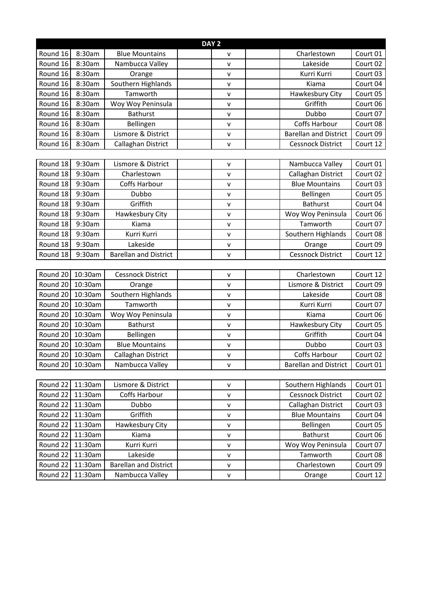| DAY <sub>2</sub> |         |                              |  |              |  |                              |          |
|------------------|---------|------------------------------|--|--------------|--|------------------------------|----------|
| Round 16         | 8:30am  | <b>Blue Mountains</b>        |  | v            |  | Charlestown                  | Court 01 |
| Round 16         | 8:30am  | Nambucca Valley              |  | V            |  | Lakeside                     | Court 02 |
| Round 16         | 8:30am  | Orange                       |  | $\mathsf{V}$ |  | Kurri Kurri                  | Court 03 |
| Round 16         | 8:30am  | Southern Highlands           |  | v            |  | Kiama                        | Court 04 |
| Round 16         | 8:30am  | Tamworth                     |  | v            |  | Hawkesbury City              | Court 05 |
| Round 16         | 8:30am  | Woy Woy Peninsula            |  | $\mathsf{V}$ |  | Griffith                     | Court 06 |
| Round 16         | 8:30am  | <b>Bathurst</b>              |  | V            |  | Dubbo                        | Court 07 |
| Round 16         | 8:30am  | Bellingen                    |  | V            |  | Coffs Harbour                | Court 08 |
| Round 16         | 8:30am  | Lismore & District           |  | $\mathsf{V}$ |  | <b>Barellan and District</b> | Court 09 |
| Round 16         | 8:30am  | Callaghan District           |  | $\mathsf{v}$ |  | Cessnock District            | Court 12 |
|                  |         |                              |  |              |  |                              |          |
| Round 18         | 9:30am  | Lismore & District           |  | v            |  | Nambucca Valley              | Court 01 |
| Round 18         | 9:30am  | Charlestown                  |  | v            |  | Callaghan District           | Court 02 |
| Round 18         | 9:30am  | Coffs Harbour                |  | v            |  | <b>Blue Mountains</b>        | Court 03 |
| Round 18         | 9:30am  | Dubbo                        |  | $\mathsf{V}$ |  | Bellingen                    | Court 05 |
| Round 18         | 9:30am  | Griffith                     |  | V            |  | <b>Bathurst</b>              | Court 04 |
| Round 18         | 9:30am  | Hawkesbury City              |  | v            |  | Woy Woy Peninsula            | Court 06 |
| Round 18         | 9:30am  | Kiama                        |  | v            |  | Tamworth                     | Court 07 |
| Round 18         | 9:30am  | Kurri Kurri                  |  | $\mathsf{v}$ |  | Southern Highlands           | Court 08 |
| Round 18         | 9:30am  | Lakeside                     |  | V            |  | Orange                       | Court 09 |
| Round 18         | 9:30am  | <b>Barellan and District</b> |  | v            |  | <b>Cessnock District</b>     | Court 12 |
|                  |         |                              |  |              |  |                              |          |
| Round 20         | 10:30am | <b>Cessnock District</b>     |  | v            |  | Charlestown                  | Court 12 |
| Round 20         | 10:30am | Orange                       |  | $\mathsf{v}$ |  | Lismore & District           | Court 09 |
| Round 20         | 10:30am | Southern Highlands           |  | v            |  | Lakeside                     | Court 08 |
| Round 20         | 10:30am | Tamworth                     |  | $\mathsf{V}$ |  | Kurri Kurri                  | Court 07 |
| Round 20         | 10:30am | Woy Woy Peninsula            |  | $\mathsf{v}$ |  | Kiama                        | Court 06 |
| Round 20         | 10:30am | <b>Bathurst</b>              |  | $\mathsf{V}$ |  | Hawkesbury City              | Court 05 |
| Round 20         | 10:30am | Bellingen                    |  | v            |  | Griffith                     | Court 04 |
| Round 20 10:30am |         | <b>Blue Mountains</b>        |  | $\mathsf{V}$ |  | Dubbo                        | Court 03 |
| Round 20 10:30am |         | Callaghan District           |  | $\mathsf{V}$ |  | Coffs Harbour                | Court 02 |
| Round 20         | 10:30am | Nambucca Valley              |  | $\mathsf{V}$ |  | <b>Barellan and District</b> | Court 01 |
|                  |         |                              |  |              |  |                              |          |
| Round 22         | 11:30am | Lismore & District           |  | V            |  | Southern Highlands           | Court 01 |
| Round 22         | 11:30am | Coffs Harbour                |  | V            |  | <b>Cessnock District</b>     | Court 02 |
| Round 22         | 11:30am | Dubbo                        |  | v            |  | Callaghan District           | Court 03 |
| Round 22         | 11:30am | Griffith                     |  | V            |  | <b>Blue Mountains</b>        | Court 04 |
| Round 22         | 11:30am | Hawkesbury City              |  | $\mathsf{V}$ |  | Bellingen                    | Court 05 |
| Round 22         | 11:30am | Kiama                        |  | v            |  | <b>Bathurst</b>              | Court 06 |
| Round 22         | 11:30am | Kurri Kurri                  |  | v            |  | Woy Woy Peninsula            | Court 07 |
| Round 22         | 11:30am | Lakeside                     |  | V            |  | Tamworth                     | Court 08 |
| Round 22         | 11:30am | <b>Barellan and District</b> |  | v            |  | Charlestown                  | Court 09 |
| Round 22         | 11:30am | Nambucca Valley              |  | v            |  | Orange                       | Court 12 |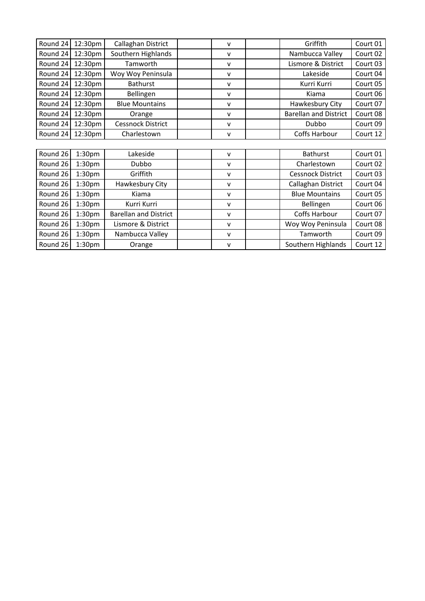| Round 24 | 12:30pm            | Callaghan District           | v            | Griffith                     | Court 01 |
|----------|--------------------|------------------------------|--------------|------------------------------|----------|
| Round 24 | 12:30pm            | Southern Highlands           | v            | Nambucca Valley              | Court 02 |
| Round 24 | 12:30pm            | Tamworth                     | v            | Lismore & District           | Court 03 |
| Round 24 | 12:30pm            | Woy Woy Peninsula            | v            | Lakeside                     | Court 04 |
| Round 24 | 12:30pm            | <b>Bathurst</b>              | v            | Kurri Kurri                  | Court 05 |
| Round 24 | 12:30pm            | Bellingen                    | v            | Kiama                        | Court 06 |
| Round 24 | 12:30pm            | <b>Blue Mountains</b>        | v            | Hawkesbury City              | Court 07 |
| Round 24 | 12:30pm            | Orange                       | v            | <b>Barellan and District</b> | Court 08 |
| Round 24 | 12:30pm            | Cessnock District            | v            | Dubbo                        | Court 09 |
| Round 24 | 12:30pm            | Charlestown                  | $\mathsf{v}$ | Coffs Harbour                | Court 12 |
|          |                    |                              |              |                              |          |
| Round 26 | 1:30 <sub>pm</sub> | Lakeside                     | v            | <b>Bathurst</b>              | Court 01 |
| Round 26 | 1:30 <sub>pm</sub> | Dubbo                        | v            | Charlestown                  | Court 02 |
| Round 26 | 1:30 <sub>pm</sub> | Griffith                     | v            | <b>Cessnock District</b>     | Court 03 |
| Round 26 | 1:30 <sub>pm</sub> | Hawkesbury City              | v            | Callaghan District           | Court 04 |
| Round 26 | 1:30 <sub>pm</sub> | Kiama                        | v            | <b>Blue Mountains</b>        | Court 05 |
| Round 26 | 1:30 <sub>pm</sub> | Kurri Kurri                  | v            | Bellingen                    | Court 06 |
| Round 26 | 1:30 <sub>pm</sub> | <b>Barellan and District</b> | v            | Coffs Harbour                | Court 07 |
| Round 26 | 1:30 <sub>pm</sub> | Lismore & District           | v            | Woy Woy Peninsula            | Court 08 |
| Round 26 | 1:30 <sub>pm</sub> | Nambucca Valley              | v            | Tamworth                     | Court 09 |
| Round 26 | 1:30 <sub>pm</sub> | Orange                       | v            | Southern Highlands           | Court 12 |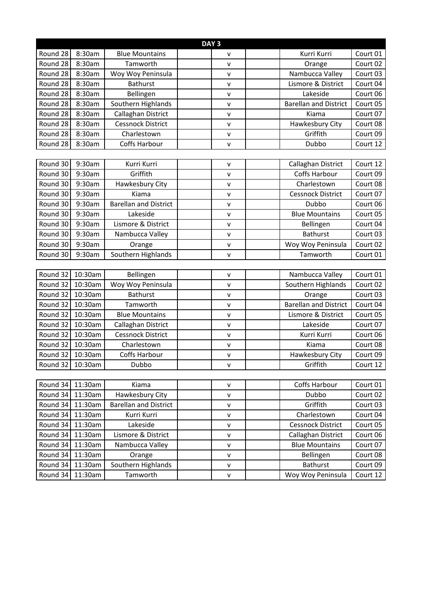| DAY <sub>3</sub> |         |                              |  |              |  |                              |          |
|------------------|---------|------------------------------|--|--------------|--|------------------------------|----------|
| Round 28         | 8:30am  | <b>Blue Mountains</b>        |  | v            |  | Kurri Kurri                  | Court 01 |
| Round 28         | 8:30am  | Tamworth                     |  | $\mathsf{V}$ |  | Orange                       | Court 02 |
| Round 28         | 8:30am  | Woy Woy Peninsula            |  | $\mathsf{V}$ |  | Nambucca Valley              | Court 03 |
| Round 28         | 8:30am  | <b>Bathurst</b>              |  | $\mathsf{V}$ |  | Lismore & District           | Court 04 |
| Round 28         | 8:30am  | Bellingen                    |  | v            |  | Lakeside                     | Court 06 |
| Round 28         | 8:30am  | Southern Highlands           |  | $\mathsf{V}$ |  | <b>Barellan and District</b> | Court 05 |
| Round 28         | 8:30am  | Callaghan District           |  | V            |  | Kiama                        | Court 07 |
| Round 28         | 8:30am  | <b>Cessnock District</b>     |  | V            |  | Hawkesbury City              | Court 08 |
| Round 28         | 8:30am  | Charlestown                  |  | $\mathsf{V}$ |  | Griffith                     | Court 09 |
| Round 28         | 8:30am  | Coffs Harbour                |  | v            |  | Dubbo                        | Court 12 |
|                  |         |                              |  |              |  |                              |          |
| Round 30         | 9:30am  | Kurri Kurri                  |  | $\mathsf{V}$ |  | Callaghan District           | Court 12 |
| Round 30         | 9:30am  | Griffith                     |  | $\mathsf{V}$ |  | Coffs Harbour                | Court 09 |
| Round 30         | 9:30am  | Hawkesbury City              |  | v            |  | Charlestown                  | Court 08 |
| Round 30         | 9:30am  | Kiama                        |  | $\mathsf{V}$ |  | <b>Cessnock District</b>     | Court 07 |
| Round 30         | 9:30am  | <b>Barellan and District</b> |  | V            |  | Dubbo                        | Court 06 |
| Round 30         | 9:30am  | Lakeside                     |  | v            |  | <b>Blue Mountains</b>        | Court 05 |
| Round 30         | 9:30am  | Lismore & District           |  | $\mathsf{v}$ |  | Bellingen                    | Court 04 |
| Round 30         | 9:30am  | Nambucca Valley              |  | $\mathsf{v}$ |  | <b>Bathurst</b>              | Court 03 |
| Round 30         | 9:30am  | Orange                       |  | V            |  | Woy Woy Peninsula            | Court 02 |
| Round 30         | 9:30am  | Southern Highlands           |  | v            |  | Tamworth                     | Court 01 |
|                  |         |                              |  |              |  |                              |          |
| Round 32         | 10:30am | Bellingen                    |  | v            |  | Nambucca Valley              | Court 01 |
| Round 32         | 10:30am | Woy Woy Peninsula            |  | $\mathsf{v}$ |  | Southern Highlands           | Court 02 |
| Round 32         | 10:30am | <b>Bathurst</b>              |  | v            |  | Orange                       | Court 03 |
| Round 32         | 10:30am | Tamworth                     |  | $\mathsf{V}$ |  | <b>Barellan and District</b> | Court 04 |
| Round 32         | 10:30am | <b>Blue Mountains</b>        |  | $\mathsf{v}$ |  | Lismore & District           | Court 05 |
| Round 32         | 10:30am | Callaghan District           |  | $\mathsf{V}$ |  | Lakeside                     | Court 07 |
| Round 32         | 10:30am | <b>Cessnock District</b>     |  | $\mathsf{V}$ |  | Kurri Kurri                  | Court 06 |
| Round 32         | 10:30am | Charlestown                  |  | $\mathsf{v}$ |  | Kiama                        | Court 08 |
| Round 32         | 10:30am | Coffs Harbour                |  | $\mathsf{v}$ |  | Hawkesbury City              | Court 09 |
| Round 32         | 10:30am | Dubbo                        |  | $\mathsf{V}$ |  | Griffith                     | Court 12 |
|                  |         |                              |  |              |  |                              |          |
| Round 34         | 11:30am | Kiama                        |  | v            |  | Coffs Harbour                | Court 01 |
| Round 34         | 11:30am | Hawkesbury City              |  | V            |  | Dubbo                        | Court 02 |
| Round 34         | 11:30am | <b>Barellan and District</b> |  | v            |  | Griffith                     | Court 03 |
| Round 34         | 11:30am | Kurri Kurri                  |  | v            |  | Charlestown                  | Court 04 |
| Round 34         | 11:30am | Lakeside                     |  | $\mathsf{V}$ |  | <b>Cessnock District</b>     | Court 05 |
| Round 34         | 11:30am | Lismore & District           |  | $\mathsf{V}$ |  | Callaghan District           | Court 06 |
| Round 34         | 11:30am | Nambucca Valley              |  | V            |  | <b>Blue Mountains</b>        | Court 07 |
| Round 34         | 11:30am | Orange                       |  | V            |  | Bellingen                    | Court 08 |
| Round 34         | 11:30am | Southern Highlands           |  | $\mathsf{V}$ |  | Bathurst                     | Court 09 |
| Round 34         | 11:30am | Tamworth                     |  | V            |  | Woy Woy Peninsula            | Court 12 |